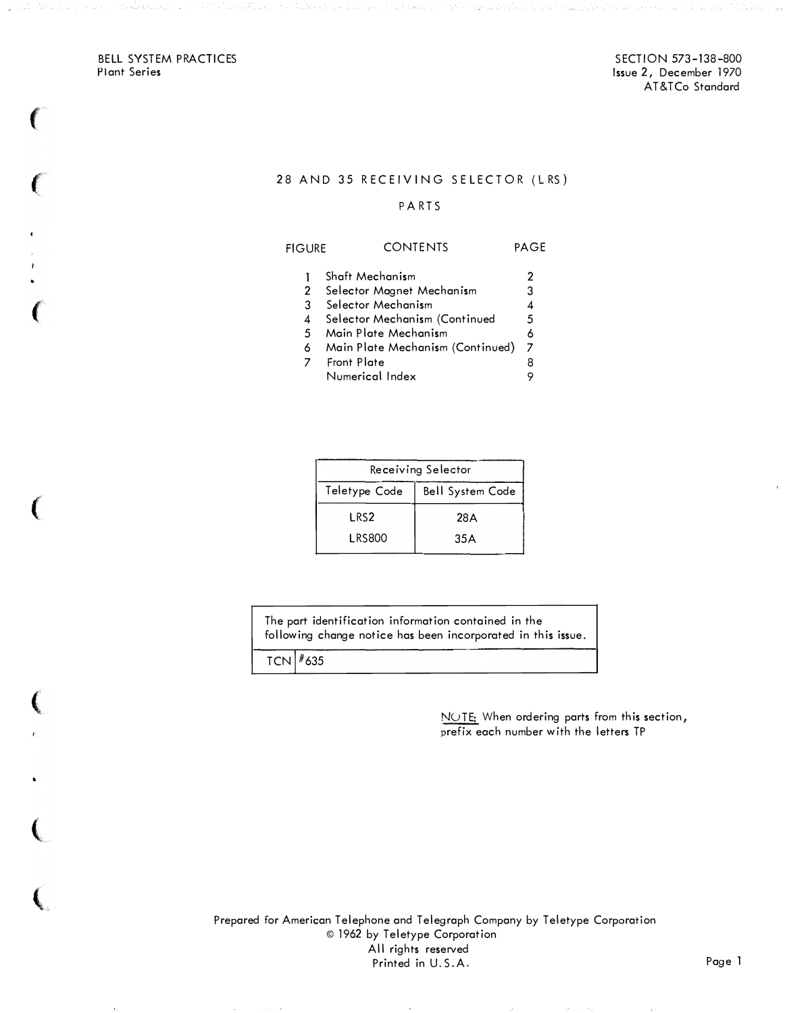BELL SYSTEM PRACTICES Plant Series

 $\sim$   $\sim$   $\sim$ 

•

### 28 AND 35 RECEIVING SELECTOR (LRS)

### PA RTS

| <b>FIGURE</b> | <b>CONTENTS</b>           | PAGE |  |
|---------------|---------------------------|------|--|
|               | Shaft Mechanism           | 2    |  |
|               | Selector Magnet Mechanism | 3    |  |

|    | 3 Selector Mechanism             |   |
|----|----------------------------------|---|
|    | 4 Selector Mechanism (Continued  | 5 |
| .5 | Main Plate Mechanism             |   |
|    | Main Plate Mechanism (Continued) |   |

- 6 Main Plate Mechanism (Continued) 7 Front Plate 8
- Numerical Index 9

| Receiving Selector |                         |  |  |  |
|--------------------|-------------------------|--|--|--|
| Teletype Code      | <b>Bell System Code</b> |  |  |  |
| LRS <sub>2</sub>   | 28 A                    |  |  |  |
| <b>LRS800</b>      | 35 A                    |  |  |  |

The part identification information contained in the following change notice has been incorporated in this issue.

 $TCN$   $*635$ 

NOTE: When ordering parts from this section, prefix each number with the letters TP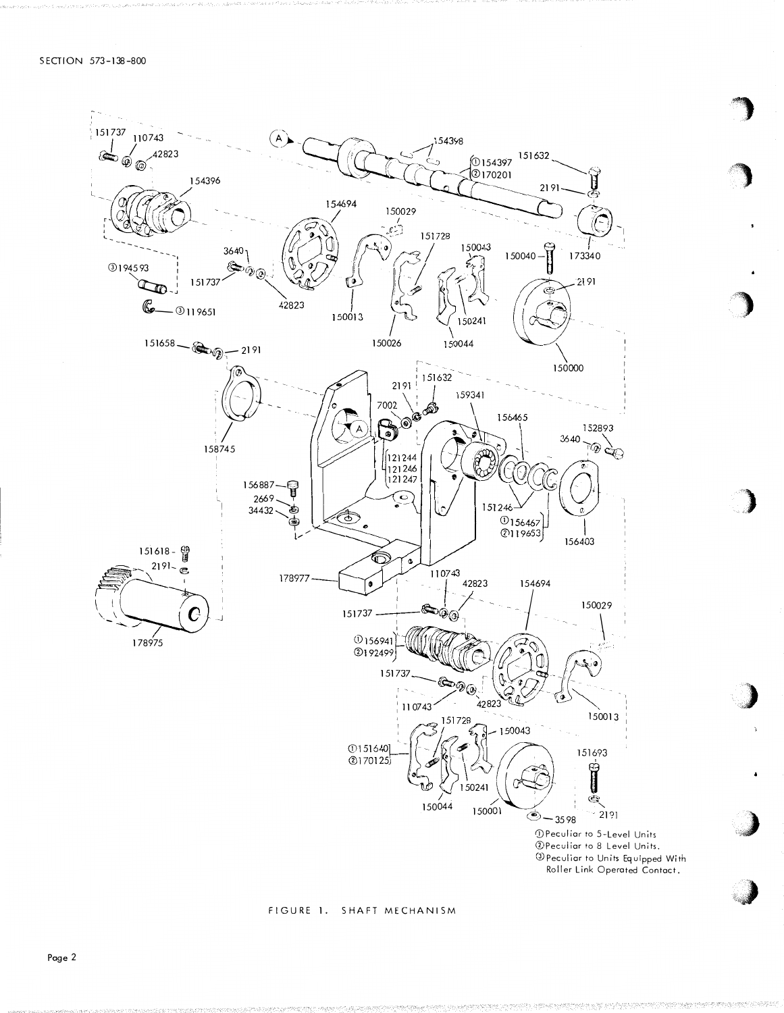

#### FIGURE 1. SHAFT MECHANISM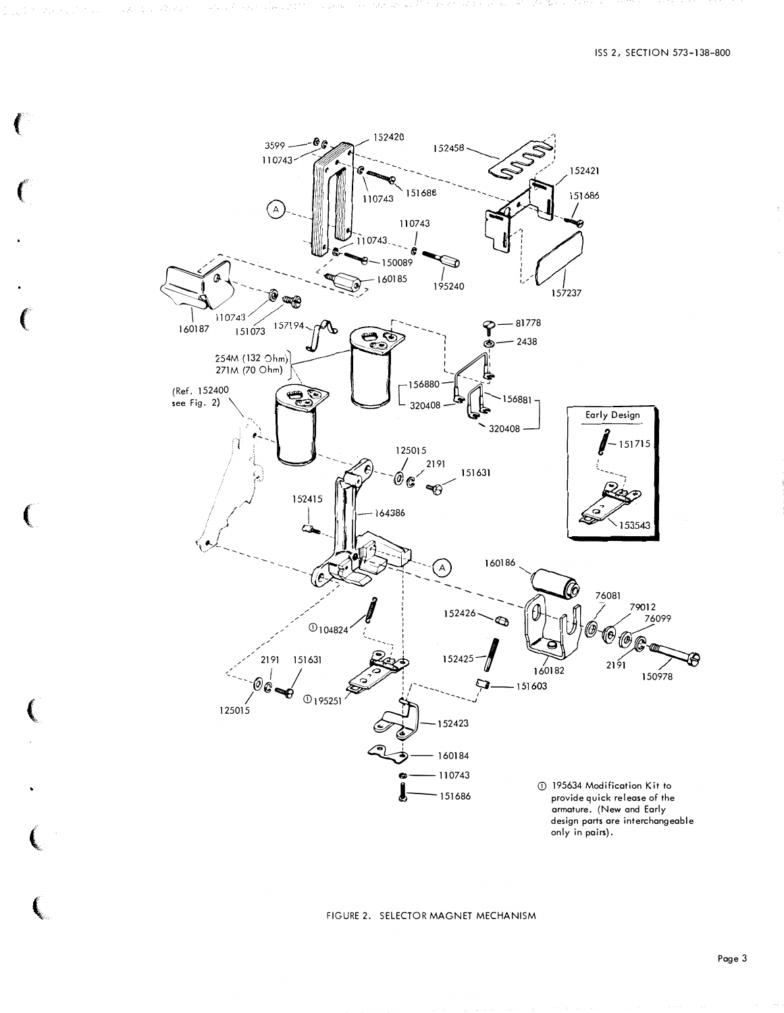

a salah di batan dan Salah satu di terbagai yang ditungkan dalam dalam dalam pengalama di tatas di terbagai da

FIGURE 2. SELECTOR MAGNET MECHANISM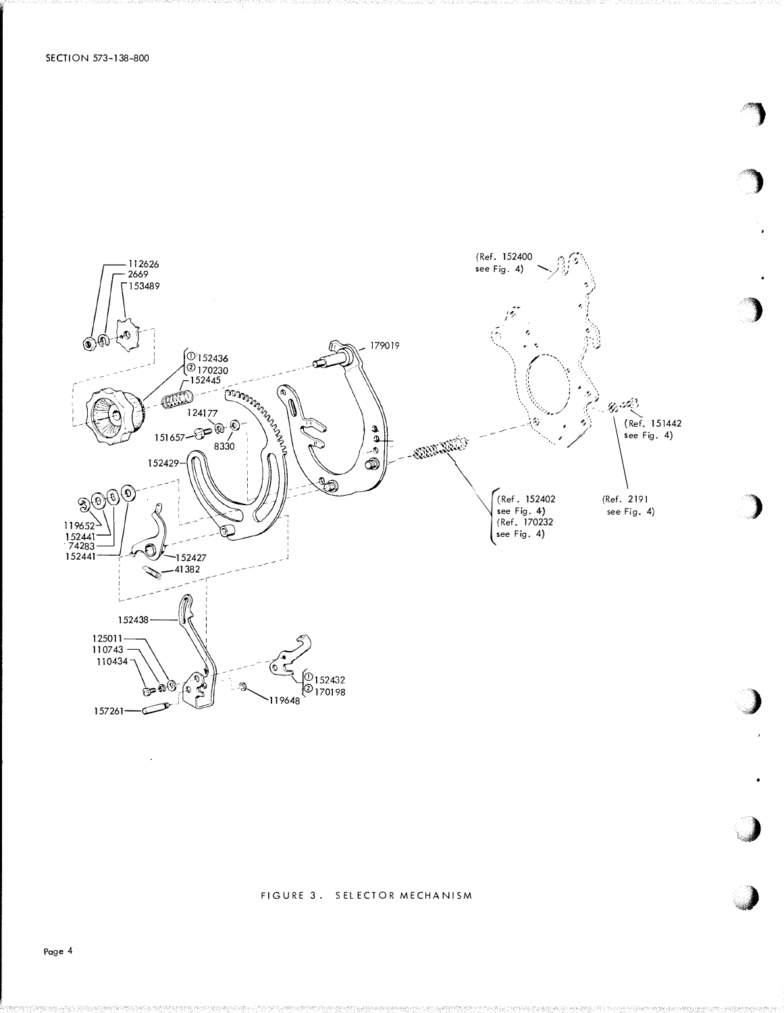

#### FIGURE 3. SELECTOR MECHANISM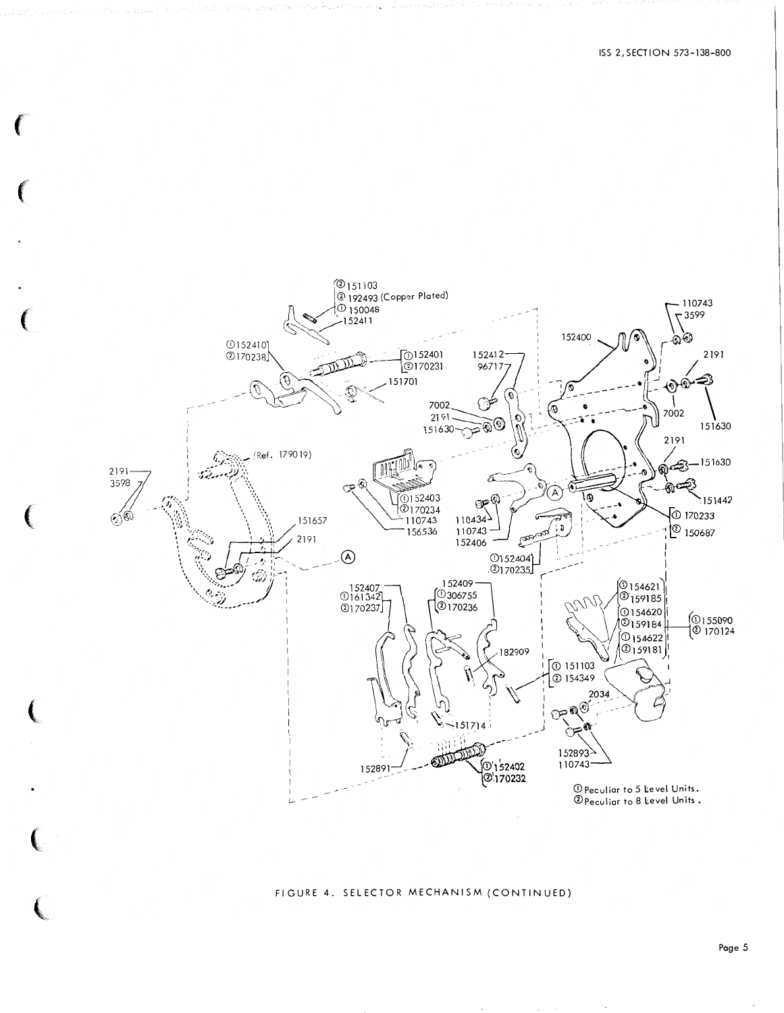

#### FIGURE 4. SELECTOR MECHANISM (CONTINUED)

Page 5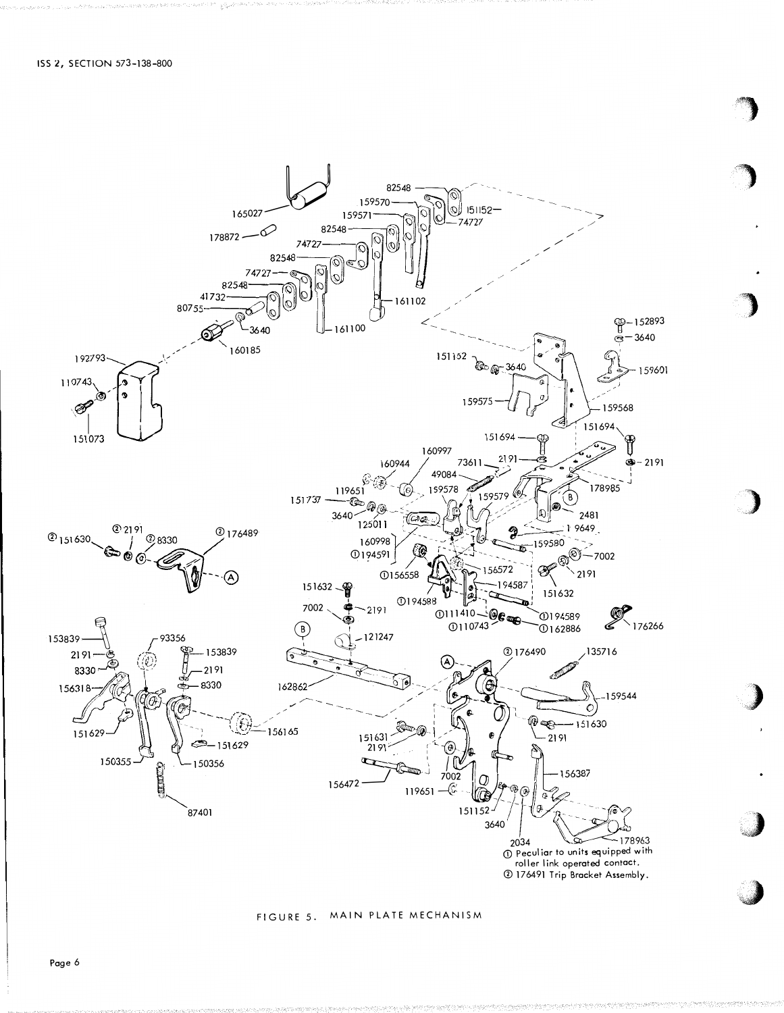



## FIGURE 5. MAIN PLATE MECHANISM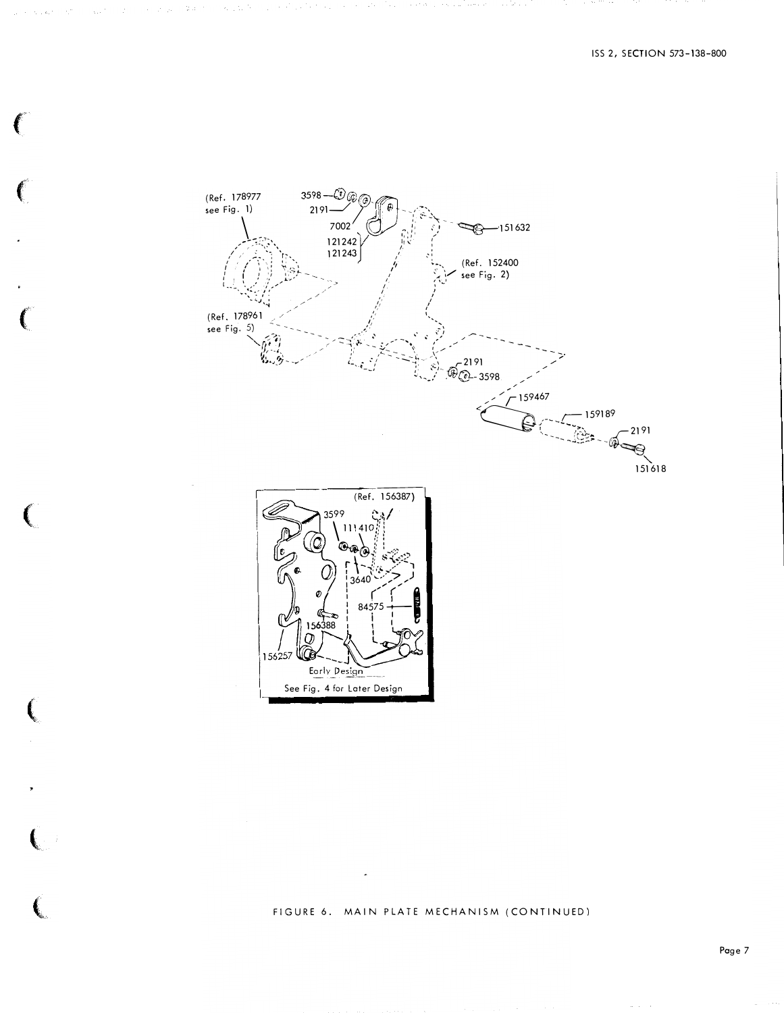

FIGURE 6. MAIN PLATE MECHANISM (CONTINUED)

Ê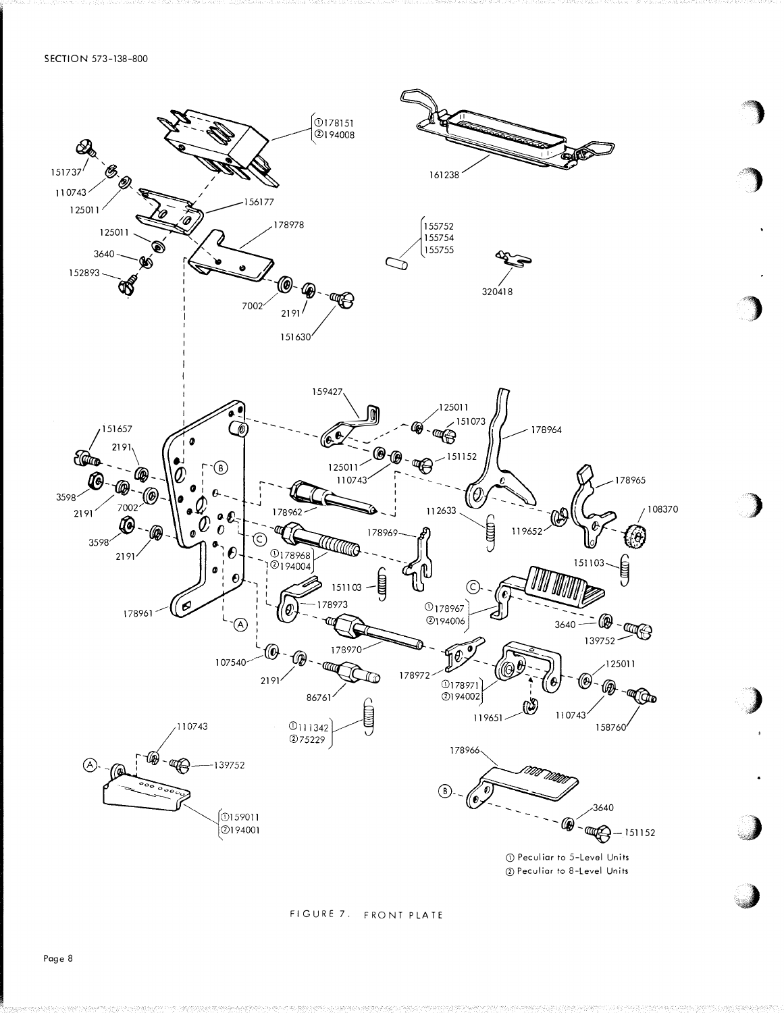

#### FIGURE 7. FRONT PLATE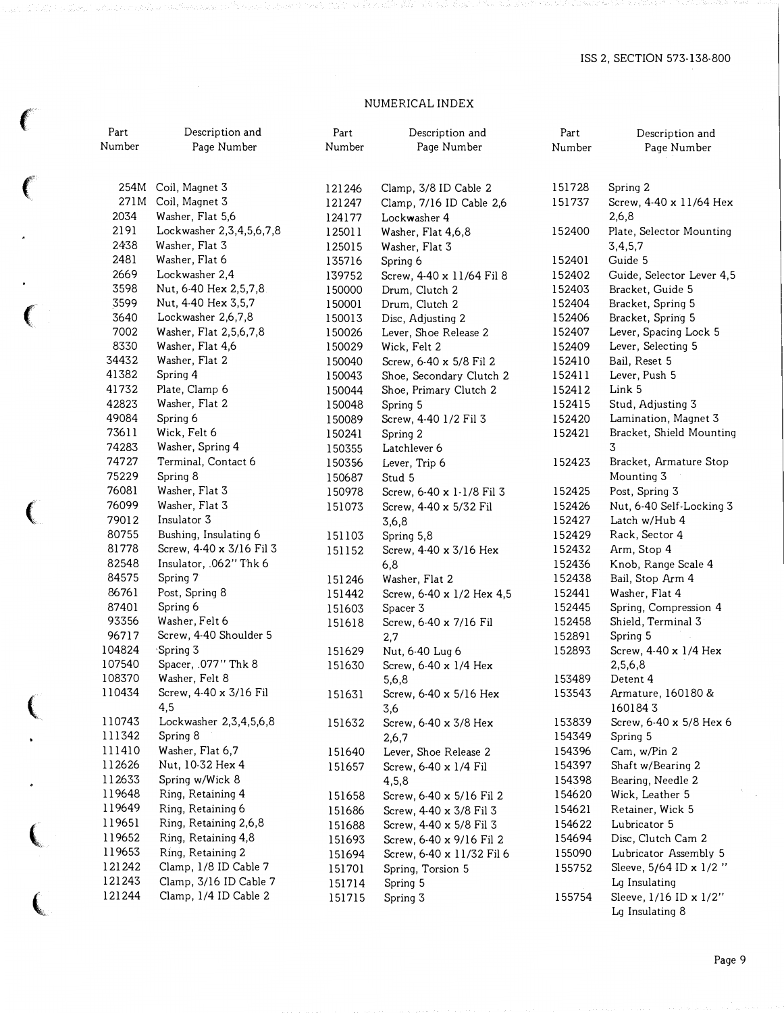## NUMERICAL INDEX

 $\left($ 

 $\bullet$ 

| ۹.      | Part<br>Number | Description and<br>Page Number                    | Part<br>Number   | Description and<br>Page Number              | Part<br>Number   | Description and<br>Page Number            |
|---------|----------------|---------------------------------------------------|------------------|---------------------------------------------|------------------|-------------------------------------------|
| $\big($ | 254M           | Coil, Magnet 3                                    | 121246           | Clamp, 3/8 ID Cable 2                       | 151728           | Spring 2                                  |
|         | 271M           | Coil, Magnet 3                                    | 121247           | Clamp, 7/16 ID Cable 2,6                    | 151737           | Screw, 4-40 x 11/64 Hex                   |
|         | 2034           | Washer, Flat 5,6                                  | 124177           | Lockwasher 4                                |                  | 2,6,8                                     |
|         | 2191           | Lockwasher 2, 3, 4, 5, 6, 7, 8                    | 125011           | Washer, Flat 4,6,8                          | 152400           | Plate, Selector Mounting                  |
|         | 2438           | Washer, Flat 3                                    | 125015           | Washer, Flat 3                              |                  | 3,4,5,7                                   |
|         | 2481           | Washer, Flat 6                                    | 135716           | Spring 6                                    | 152401           | Guide 5                                   |
|         | 2669           | Lockwasher 2,4                                    | 139752           | Screw, 4-40 x 11/64 Fil 8                   | 152402           | Guide, Selector Lever 4,5                 |
|         | 3598           | Nut, 6-40 Hex 2,5,7,8                             | 150000           | Drum, Clutch 2                              | 152403           | Bracket, Guide 5                          |
|         | 3599           | Nut, 4-40 Hex 3,5,7                               | 150001           | Drum, Clutch 2                              | 152404           | Bracket, Spring 5                         |
|         | 3640           | Lockwasher 2,6,7,8                                | 150013           | Disc, Adjusting 2                           | 152406           | Bracket, Spring 5                         |
|         | 7002           | Washer, Flat 2,5,6,7,8                            | 150026           | Lever, Shoe Release 2                       | 152407           | Lever, Spacing Lock 5                     |
|         | 8330           | Washer, Flat 4,6                                  | 150029           | Wick, Felt 2                                | 152409           | Lever, Selecting 5                        |
|         | 34432          | Washer, Flat 2                                    | 150040           | Screw, 6-40 x 5/8 Fil 2                     | 152410           | Bail, Reset 5                             |
|         | 41382          | Spring 4                                          | 150043           | Shoe, Secondary Clutch 2                    | 152411           | Lever, Push 5                             |
|         | 41732          | Plate, Clamp 6                                    | 150044           | Shoe, Primary Clutch 2                      | 152412           | Link 5                                    |
|         | 42823          | Washer, Flat 2                                    | 150048           | Spring 5                                    | 152415           | Stud, Adjusting 3                         |
|         | 49084          | Spring 6                                          | 150089           | Screw, 4-40 1/2 Fil 3                       | 152420           | Lamination, Magnet 3                      |
|         | 73611          | Wick, Felt 6                                      | 150241           | Spring 2                                    | 152421           | Bracket, Shield Mounting                  |
|         | 74283          | Washer, Spring 4                                  | 150355           | Latchlever 6                                |                  | 3                                         |
|         | 74727          | Terminal, Contact 6                               | 150356           | Lever, Trip 6                               | 152423           | Bracket, Armature Stop                    |
|         | 75229          | Spring 8                                          | 150687           | Stud 5                                      |                  | Mounting 3                                |
|         | 76081          | Washer, Flat 3                                    | 150978           | Screw, 6-40 x 1-1/8 Fil 3                   | 152425           | Post, Spring 3                            |
|         | 76099          | Washer, Flat 3                                    | 151073           | Screw, 4-40 x 5/32 Fil                      | 152426           | Nut, 6-40 Self-Locking 3                  |
|         | 79012          | Insulator 3                                       |                  | 3,6,8                                       | 152427           | Latch w/Hub 4                             |
|         | 80755<br>81778 | Bushing, Insulating 6<br>Screw, 4-40 x 3/16 Fil 3 | 151103           | Spring 5,8                                  | 152429           | Rack, Sector 4                            |
|         | 82548          | Insulator, .062" Thk 6                            | 151152           | Screw, 4-40 x 3/16 Hex                      | 152432<br>152436 | Arm, Stop 4                               |
|         | 84575          | Spring 7                                          |                  | 6,8                                         | 152438           | Knob, Range Scale 4                       |
|         | 86761          | Post, Spring 8                                    | 151246           | Washer, Flat 2<br>Screw, 6-40 x 1/2 Hex 4,5 | 152441           | Bail, Stop Arm 4<br>Washer, Flat 4        |
|         | 87401          | Spring 6                                          | 151442<br>151603 | Spacer 3                                    | 152445           | Spring, Compression 4                     |
|         | 93356          | Washer, Felt 6                                    | 151618           | Screw, 6-40 x 7/16 Fil                      | 152458           | Shield, Terminal 3                        |
|         | 96717          | Screw, 4-40 Shoulder 5                            |                  | 2,7                                         | 152891           | Spring 5                                  |
|         | 104824         | Spring 3 <sup>-</sup>                             | 151629           | Nut, 6-40 Lug 6                             | 152893           | Screw, 4-40 x 1/4 Hex                     |
|         | 107540         | Spacer, .077" Thk 8                               | 151630           | Screw, 6-40 x 1/4 Hex                       |                  | 2,5,6,8                                   |
|         | 108370         | Washer, Felt 8                                    |                  | 5,6,8                                       | 153489           | Detent 4                                  |
|         | 110434         | Screw, 4-40 x 3/16 Fil                            | 151631           | Screw, 6-40 x 5/16 Hex                      | 153543           | Armature, 160180 &                        |
|         |                | 4,5                                               |                  | 3,6                                         |                  | 1601843                                   |
|         | 110743         | Lockwasher 2,3,4,5,6,8                            | 151632           | Screw, 6-40 x 3/8 Hex                       | 153839           | Screw, 6-40 x 5/8 Hex 6                   |
|         | 111342         | Spring 8                                          |                  | 2,6,7                                       | 154349           | Spring 5                                  |
|         | 111410         | Washer, Flat 6,7                                  | 151640           | Lever, Shoe Release 2                       | 154396           | Cam, w/Pin 2                              |
|         | 112626         | Nut, 10-32 Hex 4                                  | 151657           | Screw, 6-40 x 1/4 Fil                       | 154397           | Shaft w/Bearing 2                         |
|         | 112633         | Spring w/Wick 8                                   |                  | 4,5,8                                       | 154398           | Bearing, Needle 2                         |
|         | 119648         | Ring, Retaining 4                                 | 151658           | Screw, 6-40 x 5/16 Fil 2                    | 154620           | Wick, Leather 5                           |
|         | 119649         | Ring, Retaining 6                                 | 151686           | Screw, 4-40 x 3/8 Fil 3                     | 154621           | Retainer, Wick 5                          |
|         | 119651         | Ring, Retaining 2,6,8                             | 151688           | Screw, 4-40 x 5/8 Fil 3                     | 154622           | Lubricator 5                              |
|         | 119652         | Ring, Retaining 4,8                               | 151693           | Screw, 6-40 x 9/16 Fil 2                    | 154694           | Disc, Clutch Cam 2                        |
|         | 119653         | Ring, Retaining 2                                 | 151694           | Screw, 6-40 x 11/32 Fil 6                   | 155090           | Lubricator Assembly 5                     |
|         | 121242         | Clamp, 1/8 ID Cable 7                             | 151701           | Spring, Torsion 5                           | 155752           | Sleeve, 5/64 ID x 1/2"                    |
|         | 121243         | Clamp, 3/16 ID Cable 7                            | 151714           | Spring 5                                    |                  | Lg Insulating                             |
|         | 121244         | Clamp, 1/4 ID Cable 2                             | 151715           | Spring 3                                    | 155754           | Sleeve, 1/16 ID x 1/2"<br>Lg Insulating 8 |